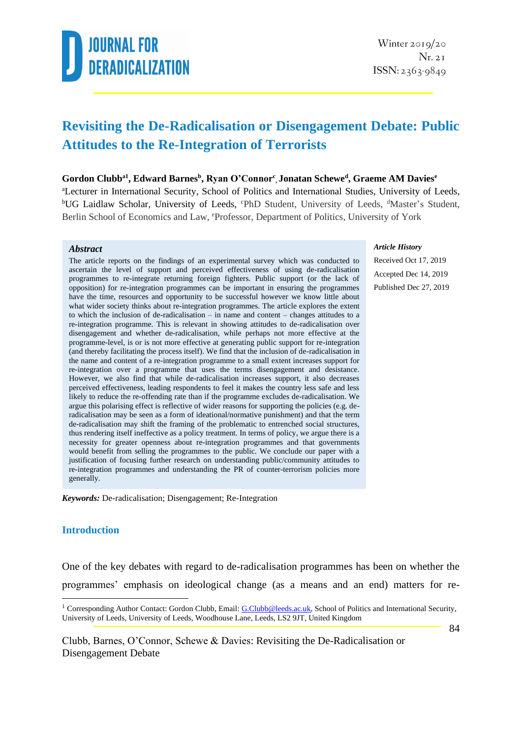

### **Revisiting the De-Radicalisation or Disengagement Debate: Public Attitudes to the Re-Integration of Terrorists**

#### **Gordon Clubba1 , Edward Barnes<sup>b</sup> , Ryan O'Connor<sup>c</sup> , Jonatan Schewe<sup>d</sup> , Graeme AM Davies<sup>e</sup>**

<sup>a</sup>Lecturer in International Security, School of Politics and International Studies, University of Leeds, <sup>b</sup>UG Laidlaw Scholar, University of Leeds, <sup>c</sup>PhD Student, University of Leeds, <sup>d</sup>Master's Student, Berlin School of Economics and Law, <sup>e</sup>Professor, Department of Politics, University of York

#### *Abstract*

The article reports on the findings of an experimental survey which was conducted to ascertain the level of support and perceived effectiveness of using de-radicalisation programmes to re-integrate returning foreign fighters. Public support (or the lack of opposition) for re-integration programmes can be important in ensuring the programmes have the time, resources and opportunity to be successful however we know little about what wider society thinks about re-integration programmes. The article explores the extent to which the inclusion of de-radicalisation – in name and content – changes attitudes to a re-integration programme. This is relevant in showing attitudes to de-radicalisation over disengagement and whether de-radicalisation, while perhaps not more effective at the programme-level, is or is not more effective at generating public support for re-integration (and thereby facilitating the process itself). We find that the inclusion of de-radicalisation in the name and content of a re-integration programme to a small extent increases support for re-integration over a programme that uses the terms disengagement and desistance. However, we also find that while de-radicalisation increases support, it also decreases perceived effectiveness, leading respondents to feel it makes the country less safe and less likely to reduce the re-offending rate than if the programme excludes de-radicalisation. We argue this polarising effect is reflective of wider reasons for supporting the policies (e.g. deradicalisation may be seen as a form of ideational/normative punishment) and that the term de-radicalisation may shift the framing of the problematic to entrenched social structures, thus rendering itself ineffective as a policy treatment. In terms of policy, we argue there is a necessity for greater openness about re-integration programmes and that governments would benefit from selling the programmes to the public. We conclude our paper with a justification of focusing further research on understanding public/community attitudes to re-integration programmes and understanding the PR of counter-terrorism policies more generally.

*Keywords:* De-radicalisation; Disengagement; Re-Integration

#### **Introduction**

One of the key debates with regard to de-radicalisation programmes has been on whether the programmes' emphasis on ideological change (as a means and an end) matters for re-

#### *Article History*

Received Oct 17, 2019 Accepted Dec 14, 2019 Published Dec 27, 2019

<sup>&</sup>lt;sup>1</sup> Corresponding Author Contact: Gordon Clubb, Email[: G.Clubb@leeds.ac.uk,](mailto:G.Clubb@leeds.ac.uk) School of Politics and International Security, University of Leeds, University of Leeds, Woodhouse Lane, Leeds, LS2 9JT, United Kingdom

Clubb, Barnes, O'Connor, Schewe & Davies: Revisiting the De-Radicalisation or Disengagement Debate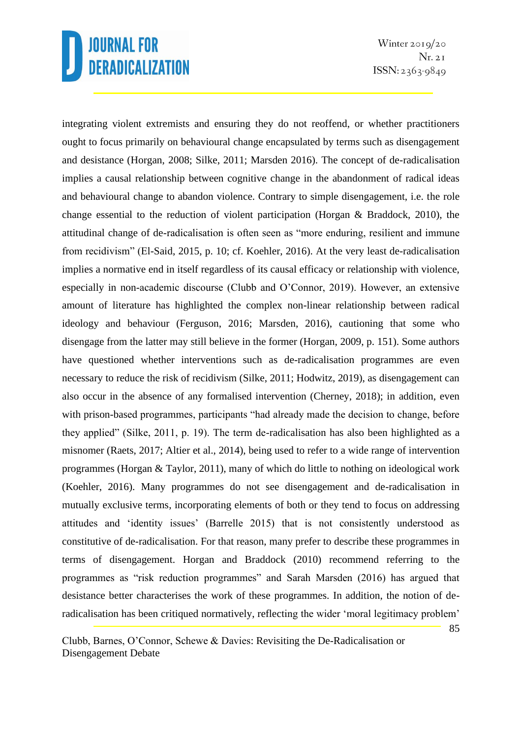Winter  $2019/20$  $Nr. 2I$  $ISSN: 2363-9849$ 

integrating violent extremists and ensuring they do not reoffend, or whether practitioners ought to focus primarily on behavioural change encapsulated by terms such as disengagement and desistance (Horgan, 2008; Silke, 2011; Marsden 2016). The concept of de-radicalisation implies a causal relationship between cognitive change in the abandonment of radical ideas and behavioural change to abandon violence. Contrary to simple disengagement, i.e. the role change essential to the reduction of violent participation (Horgan & Braddock, 2010), the attitudinal change of de-radicalisation is often seen as "more enduring, resilient and immune from recidivism" (El-Said, 2015, p. 10; cf. Koehler, 2016). At the very least de-radicalisation implies a normative end in itself regardless of its causal efficacy or relationship with violence, especially in non-academic discourse (Clubb and O'Connor, 2019). However, an extensive amount of literature has highlighted the complex non-linear relationship between radical ideology and behaviour (Ferguson, 2016; Marsden, 2016), cautioning that some who disengage from the latter may still believe in the former (Horgan, 2009, p. 151). Some authors have questioned whether interventions such as de-radicalisation programmes are even necessary to reduce the risk of recidivism (Silke, 2011; Hodwitz, 2019), as disengagement can also occur in the absence of any formalised intervention (Cherney, 2018); in addition, even with prison-based programmes, participants "had already made the decision to change, before they applied" (Silke, 2011, p. 19). The term de-radicalisation has also been highlighted as a misnomer (Raets, 2017; Altier et al., 2014), being used to refer to a wide range of intervention programmes (Horgan & Taylor, 2011), many of which do little to nothing on ideological work (Koehler, 2016). Many programmes do not see disengagement and de-radicalisation in mutually exclusive terms, incorporating elements of both or they tend to focus on addressing attitudes and 'identity issues' (Barrelle 2015) that is not consistently understood as constitutive of de-radicalisation. For that reason, many prefer to describe these programmes in terms of disengagement. Horgan and Braddock (2010) recommend referring to the programmes as "risk reduction programmes" and Sarah Marsden (2016) has argued that desistance better characterises the work of these programmes. In addition, the notion of deradicalisation has been critiqued normatively, reflecting the wider 'moral legitimacy problem'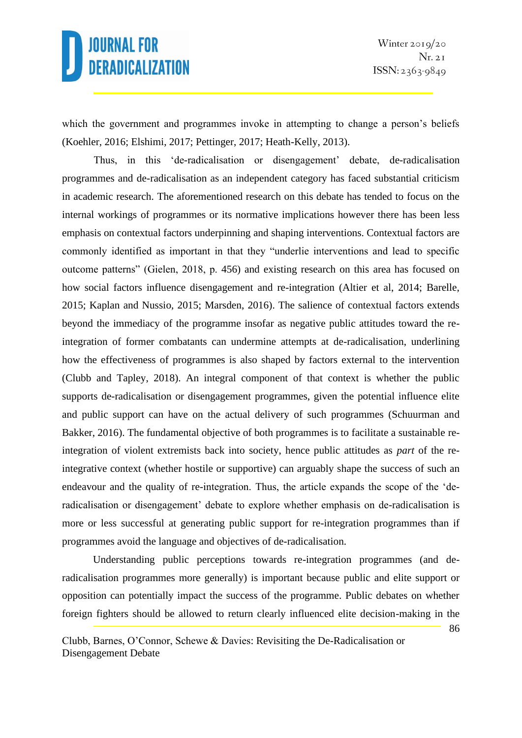86

which the government and programmes invoke in attempting to change a person's beliefs (Koehler, 2016; Elshimi, 2017; Pettinger, 2017; Heath-Kelly, 2013).

Thus, in this 'de-radicalisation or disengagement' debate, de-radicalisation programmes and de-radicalisation as an independent category has faced substantial criticism in academic research. The aforementioned research on this debate has tended to focus on the internal workings of programmes or its normative implications however there has been less emphasis on contextual factors underpinning and shaping interventions. Contextual factors are commonly identified as important in that they "underlie interventions and lead to specific outcome patterns" (Gielen, 2018, p. 456) and existing research on this area has focused on how social factors influence disengagement and re-integration (Altier et al, 2014; Barelle, 2015; Kaplan and Nussio, 2015; Marsden, 2016). The salience of contextual factors extends beyond the immediacy of the programme insofar as negative public attitudes toward the reintegration of former combatants can undermine attempts at de-radicalisation, underlining how the effectiveness of programmes is also shaped by factors external to the intervention (Clubb and Tapley, 2018). An integral component of that context is whether the public supports de-radicalisation or disengagement programmes, given the potential influence elite and public support can have on the actual delivery of such programmes (Schuurman and Bakker, 2016). The fundamental objective of both programmes is to facilitate a sustainable reintegration of violent extremists back into society, hence public attitudes as *part* of the reintegrative context (whether hostile or supportive) can arguably shape the success of such an endeavour and the quality of re-integration. Thus, the article expands the scope of the 'deradicalisation or disengagement' debate to explore whether emphasis on de-radicalisation is more or less successful at generating public support for re-integration programmes than if programmes avoid the language and objectives of de-radicalisation.

Understanding public perceptions towards re-integration programmes (and deradicalisation programmes more generally) is important because public and elite support or opposition can potentially impact the success of the programme. Public debates on whether foreign fighters should be allowed to return clearly influenced elite decision-making in the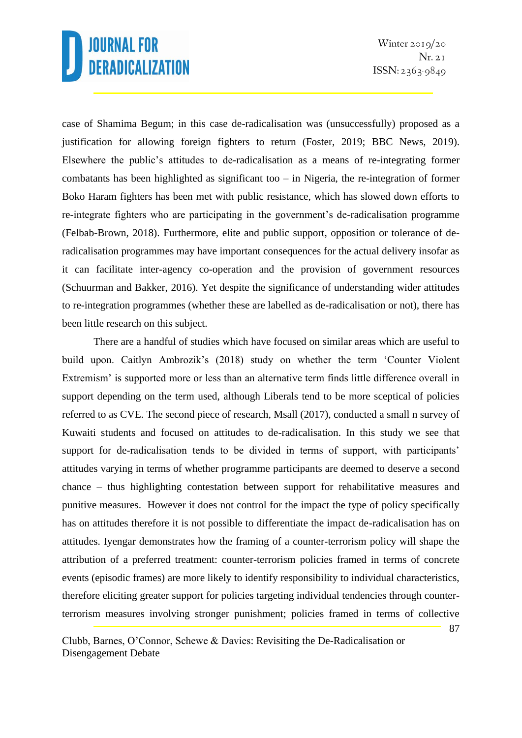case of Shamima Begum; in this case de-radicalisation was (unsuccessfully) proposed as a justification for allowing foreign fighters to return (Foster, 2019; BBC News, 2019). Elsewhere the public's attitudes to de-radicalisation as a means of re-integrating former combatants has been highlighted as significant too – in Nigeria, the re-integration of former Boko Haram fighters has been met with public resistance, which has slowed down efforts to re-integrate fighters who are participating in the government's de-radicalisation programme (Felbab-Brown, 2018). Furthermore, elite and public support, opposition or tolerance of deradicalisation programmes may have important consequences for the actual delivery insofar as it can facilitate inter-agency co-operation and the provision of government resources (Schuurman and Bakker, 2016). Yet despite the significance of understanding wider attitudes to re-integration programmes (whether these are labelled as de-radicalisation or not), there has been little research on this subject.

There are a handful of studies which have focused on similar areas which are useful to build upon. Caitlyn Ambrozik's (2018) study on whether the term 'Counter Violent Extremism' is supported more or less than an alternative term finds little difference overall in support depending on the term used, although Liberals tend to be more sceptical of policies referred to as CVE. The second piece of research, Msall (2017), conducted a small n survey of Kuwaiti students and focused on attitudes to de-radicalisation. In this study we see that support for de-radicalisation tends to be divided in terms of support, with participants' attitudes varying in terms of whether programme participants are deemed to deserve a second chance – thus highlighting contestation between support for rehabilitative measures and punitive measures. However it does not control for the impact the type of policy specifically has on attitudes therefore it is not possible to differentiate the impact de-radicalisation has on attitudes. Iyengar demonstrates how the framing of a counter-terrorism policy will shape the attribution of a preferred treatment: counter-terrorism policies framed in terms of concrete events (episodic frames) are more likely to identify responsibility to individual characteristics, therefore eliciting greater support for policies targeting individual tendencies through counterterrorism measures involving stronger punishment; policies framed in terms of collective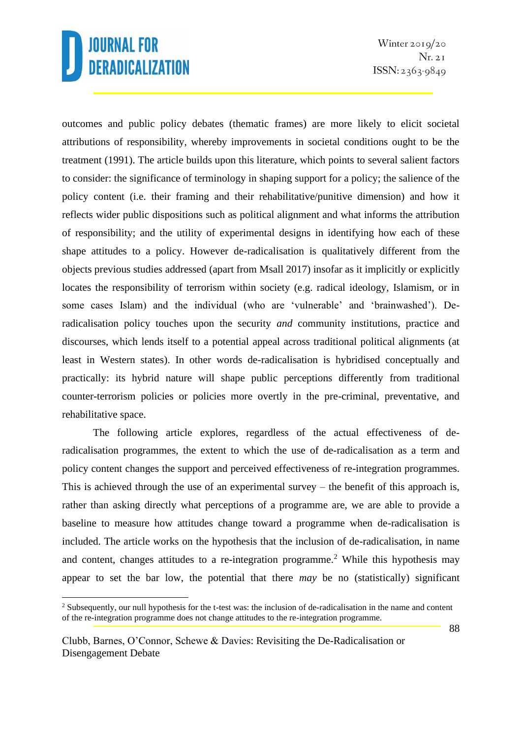Winter  $2019/20$  $Nr. 2I$  $ISSN: 2363-9849$ 

outcomes and public policy debates (thematic frames) are more likely to elicit societal attributions of responsibility, whereby improvements in societal conditions ought to be the treatment (1991). The article builds upon this literature, which points to several salient factors to consider: the significance of terminology in shaping support for a policy; the salience of the policy content (i.e. their framing and their rehabilitative/punitive dimension) and how it reflects wider public dispositions such as political alignment and what informs the attribution of responsibility; and the utility of experimental designs in identifying how each of these shape attitudes to a policy. However de-radicalisation is qualitatively different from the objects previous studies addressed (apart from Msall 2017) insofar as it implicitly or explicitly locates the responsibility of terrorism within society (e.g. radical ideology, Islamism, or in some cases Islam) and the individual (who are 'vulnerable' and 'brainwashed'). Deradicalisation policy touches upon the security *and* community institutions, practice and discourses, which lends itself to a potential appeal across traditional political alignments (at least in Western states). In other words de-radicalisation is hybridised conceptually and practically: its hybrid nature will shape public perceptions differently from traditional counter-terrorism policies or policies more overtly in the pre-criminal, preventative, and rehabilitative space.

The following article explores, regardless of the actual effectiveness of deradicalisation programmes, the extent to which the use of de-radicalisation as a term and policy content changes the support and perceived effectiveness of re-integration programmes. This is achieved through the use of an experimental survey – the benefit of this approach is, rather than asking directly what perceptions of a programme are, we are able to provide a baseline to measure how attitudes change toward a programme when de-radicalisation is included. The article works on the hypothesis that the inclusion of de-radicalisation, in name and content, changes attitudes to a re-integration programme.<sup>2</sup> While this hypothesis may appear to set the bar low, the potential that there *may* be no (statistically) significant

 $2$  Subsequently, our null hypothesis for the t-test was: the inclusion of de-radicalisation in the name and content of the re-integration programme does not change attitudes to the re-integration programme.

Clubb, Barnes, O'Connor, Schewe & Davies: Revisiting the De-Radicalisation or Disengagement Debate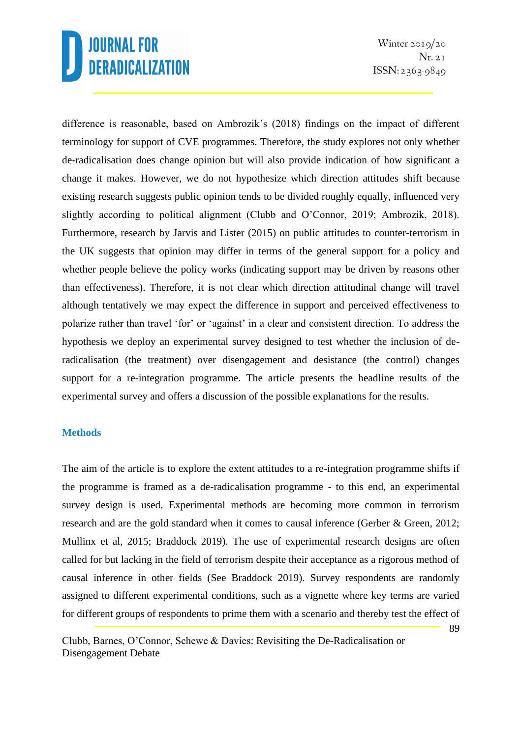Winter  $2019/20$  $Nr. 2I$  $ISSN: 2363-9849$ 

difference is reasonable, based on Ambrozik's (2018) findings on the impact of different terminology for support of CVE programmes. Therefore, the study explores not only whether de-radicalisation does change opinion but will also provide indication of how significant a change it makes. However, we do not hypothesize which direction attitudes shift because existing research suggests public opinion tends to be divided roughly equally, influenced very slightly according to political alignment (Clubb and O'Connor, 2019; Ambrozik, 2018). Furthermore, research by Jarvis and Lister (2015) on public attitudes to counter-terrorism in the UK suggests that opinion may differ in terms of the general support for a policy and whether people believe the policy works (indicating support may be driven by reasons other than effectiveness). Therefore, it is not clear which direction attitudinal change will travel although tentatively we may expect the difference in support and perceived effectiveness to polarize rather than travel 'for' or 'against' in a clear and consistent direction. To address the hypothesis we deploy an experimental survey designed to test whether the inclusion of deradicalisation (the treatment) over disengagement and desistance (the control) changes support for a re-integration programme. The article presents the headline results of the experimental survey and offers a discussion of the possible explanations for the results.

#### **Methods**

The aim of the article is to explore the extent attitudes to a re-integration programme shifts if the programme is framed as a de-radicalisation programme - to this end, an experimental survey design is used. Experimental methods are becoming more common in terrorism research and are the gold standard when it comes to causal inference (Gerber & Green, 2012; Mullinx et al, 2015; Braddock 2019). The use of experimental research designs are often called for but lacking in the field of terrorism despite their acceptance as a rigorous method of causal inference in other fields (See Braddock 2019). Survey respondents are randomly assigned to different experimental conditions, such as a vignette where key terms are varied for different groups of respondents to prime them with a scenario and thereby test the effect of

Clubb, Barnes, O'Connor, Schewe & Davies: Revisiting the De-Radicalisation or Disengagement Debate

89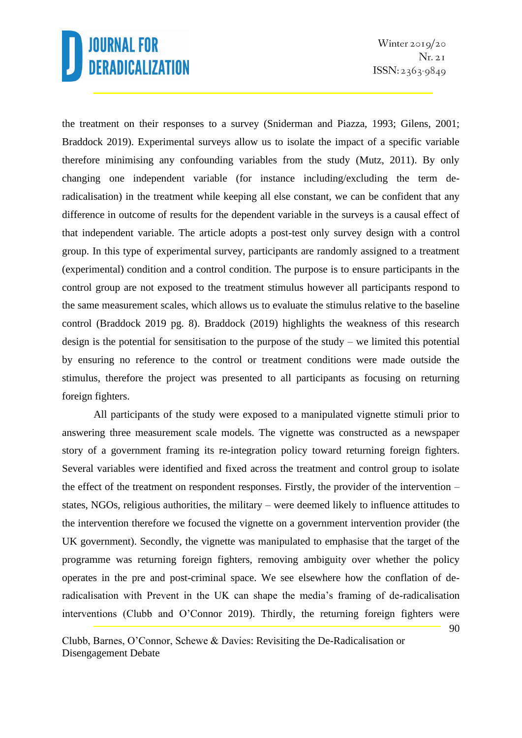the treatment on their responses to a survey (Sniderman and Piazza, 1993; Gilens, 2001; Braddock 2019). Experimental surveys allow us to isolate the impact of a specific variable therefore minimising any confounding variables from the study (Mutz, 2011). By only changing one independent variable (for instance including/excluding the term deradicalisation) in the treatment while keeping all else constant, we can be confident that any difference in outcome of results for the dependent variable in the surveys is a causal effect of that independent variable. The article adopts a post-test only survey design with a control group. In this type of experimental survey, participants are randomly assigned to a treatment (experimental) condition and a control condition. The purpose is to ensure participants in the control group are not exposed to the treatment stimulus however all participants respond to the same measurement scales, which allows us to evaluate the stimulus relative to the baseline control (Braddock 2019 pg. 8). Braddock (2019) highlights the weakness of this research design is the potential for sensitisation to the purpose of the study – we limited this potential by ensuring no reference to the control or treatment conditions were made outside the stimulus, therefore the project was presented to all participants as focusing on returning foreign fighters.

All participants of the study were exposed to a manipulated vignette stimuli prior to answering three measurement scale models. The vignette was constructed as a newspaper story of a government framing its re-integration policy toward returning foreign fighters. Several variables were identified and fixed across the treatment and control group to isolate the effect of the treatment on respondent responses. Firstly, the provider of the intervention – states, NGOs, religious authorities, the military – were deemed likely to influence attitudes to the intervention therefore we focused the vignette on a government intervention provider (the UK government). Secondly, the vignette was manipulated to emphasise that the target of the programme was returning foreign fighters, removing ambiguity over whether the policy operates in the pre and post-criminal space. We see elsewhere how the conflation of deradicalisation with Prevent in the UK can shape the media's framing of de-radicalisation interventions (Clubb and O'Connor 2019). Thirdly, the returning foreign fighters were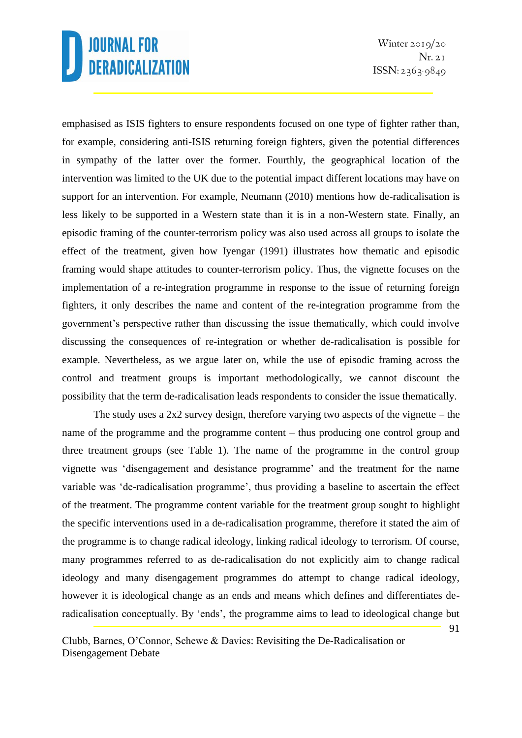Winter  $2019/20$  $Nr. 2I$  $ISSN: 2363-9849$ 

91

emphasised as ISIS fighters to ensure respondents focused on one type of fighter rather than, for example, considering anti-ISIS returning foreign fighters, given the potential differences in sympathy of the latter over the former. Fourthly, the geographical location of the intervention was limited to the UK due to the potential impact different locations may have on support for an intervention. For example, Neumann (2010) mentions how de-radicalisation is less likely to be supported in a Western state than it is in a non-Western state. Finally, an episodic framing of the counter-terrorism policy was also used across all groups to isolate the effect of the treatment, given how Iyengar (1991) illustrates how thematic and episodic framing would shape attitudes to counter-terrorism policy. Thus, the vignette focuses on the implementation of a re-integration programme in response to the issue of returning foreign fighters, it only describes the name and content of the re-integration programme from the government's perspective rather than discussing the issue thematically, which could involve discussing the consequences of re-integration or whether de-radicalisation is possible for example. Nevertheless, as we argue later on, while the use of episodic framing across the control and treatment groups is important methodologically, we cannot discount the possibility that the term de-radicalisation leads respondents to consider the issue thematically.

The study uses a  $2x2$  survey design, therefore varying two aspects of the vignette – the name of the programme and the programme content – thus producing one control group and three treatment groups (see Table 1). The name of the programme in the control group vignette was 'disengagement and desistance programme' and the treatment for the name variable was 'de-radicalisation programme', thus providing a baseline to ascertain the effect of the treatment. The programme content variable for the treatment group sought to highlight the specific interventions used in a de-radicalisation programme, therefore it stated the aim of the programme is to change radical ideology, linking radical ideology to terrorism. Of course, many programmes referred to as de-radicalisation do not explicitly aim to change radical ideology and many disengagement programmes do attempt to change radical ideology, however it is ideological change as an ends and means which defines and differentiates deradicalisation conceptually. By 'ends', the programme aims to lead to ideological change but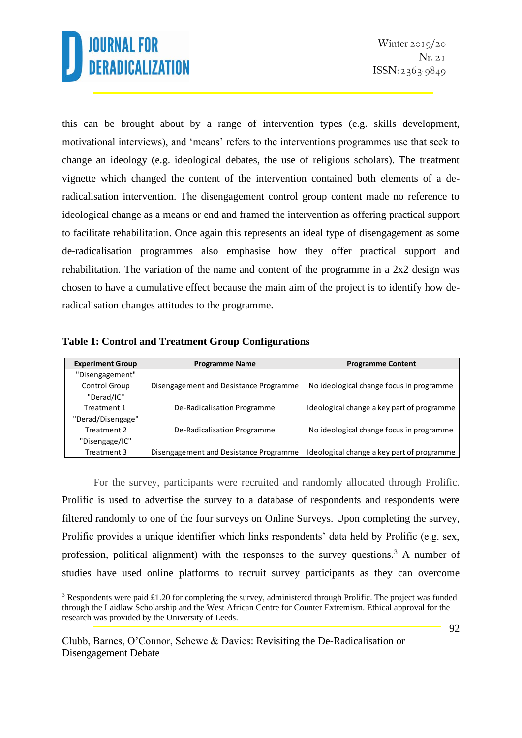this can be brought about by a range of intervention types (e.g. skills development, motivational interviews), and 'means' refers to the interventions programmes use that seek to change an ideology (e.g. ideological debates, the use of religious scholars). The treatment vignette which changed the content of the intervention contained both elements of a deradicalisation intervention. The disengagement control group content made no reference to ideological change as a means or end and framed the intervention as offering practical support to facilitate rehabilitation. Once again this represents an ideal type of disengagement as some de-radicalisation programmes also emphasise how they offer practical support and rehabilitation. The variation of the name and content of the programme in a 2x2 design was chosen to have a cumulative effect because the main aim of the project is to identify how deradicalisation changes attitudes to the programme.

| <b>Experiment Group</b> | <b>Programme Name</b><br><b>Programme Content</b> |                                            |
|-------------------------|---------------------------------------------------|--------------------------------------------|
| "Disengagement"         |                                                   |                                            |
| Control Group           | Disengagement and Desistance Programme            | No ideological change focus in programme   |
| "Derad/IC"              |                                                   |                                            |
| Treatment 1             | De-Radicalisation Programme                       | Ideological change a key part of programme |
| "Derad/Disengage"       |                                                   |                                            |
| Treatment 2             | De-Radicalisation Programme                       | No ideological change focus in programme   |
| "Disengage/IC"          |                                                   |                                            |
| Treatment 3             | Disengagement and Desistance Programme            | Ideological change a key part of programme |

#### **Table 1: Control and Treatment Group Configurations**

For the survey, participants were recruited and randomly allocated through Prolific. Prolific is used to advertise the survey to a database of respondents and respondents were filtered randomly to one of the four surveys on Online Surveys. Upon completing the survey, Prolific provides a unique identifier which links respondents' data held by Prolific (e.g. sex, profession, political alignment) with the responses to the survey questions.<sup>3</sup> A number of studies have used online platforms to recruit survey participants as they can overcome

<sup>&</sup>lt;sup>3</sup> Respondents were paid £1.20 for completing the survey, administered through Prolific. The project was funded through the Laidlaw Scholarship and the West African Centre for Counter Extremism. Ethical approval for the research was provided by the University of Leeds.

Clubb, Barnes, O'Connor, Schewe & Davies: Revisiting the De-Radicalisation or Disengagement Debate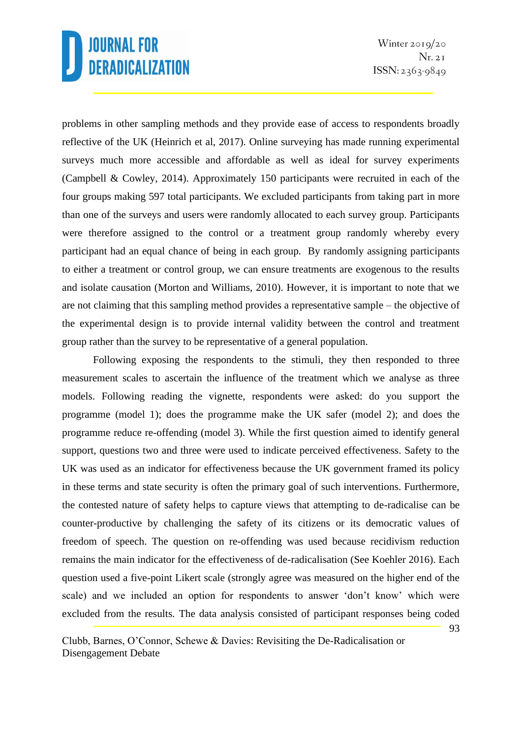Winter  $2019/20$  $Nr. 2I$  $ISSN: 2363-9849$ 

problems in other sampling methods and they provide ease of access to respondents broadly reflective of the UK (Heinrich et al, 2017). Online surveying has made running experimental surveys much more accessible and affordable as well as ideal for survey experiments (Campbell & Cowley, 2014). Approximately 150 participants were recruited in each of the four groups making 597 total participants. We excluded participants from taking part in more than one of the surveys and users were randomly allocated to each survey group. Participants were therefore assigned to the control or a treatment group randomly whereby every participant had an equal chance of being in each group. By randomly assigning participants to either a treatment or control group, we can ensure treatments are exogenous to the results and isolate causation (Morton and Williams, 2010). However, it is important to note that we are not claiming that this sampling method provides a representative sample – the objective of the experimental design is to provide internal validity between the control and treatment group rather than the survey to be representative of a general population.

Following exposing the respondents to the stimuli, they then responded to three measurement scales to ascertain the influence of the treatment which we analyse as three models. Following reading the vignette, respondents were asked: do you support the programme (model 1); does the programme make the UK safer (model 2); and does the programme reduce re-offending (model 3). While the first question aimed to identify general support, questions two and three were used to indicate perceived effectiveness. Safety to the UK was used as an indicator for effectiveness because the UK government framed its policy in these terms and state security is often the primary goal of such interventions. Furthermore, the contested nature of safety helps to capture views that attempting to de-radicalise can be counter-productive by challenging the safety of its citizens or its democratic values of freedom of speech. The question on re-offending was used because recidivism reduction remains the main indicator for the effectiveness of de-radicalisation (See Koehler 2016). Each question used a five-point Likert scale (strongly agree was measured on the higher end of the scale) and we included an option for respondents to answer 'don't know' which were excluded from the results*.* The data analysis consisted of participant responses being coded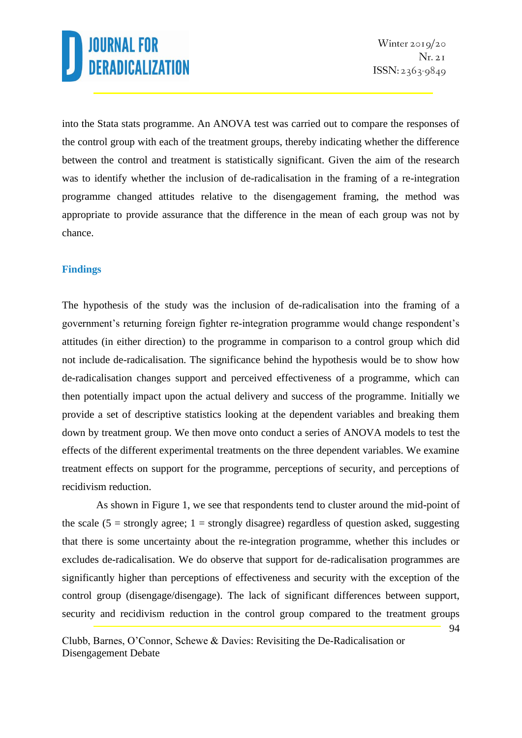into the Stata stats programme. An ANOVA test was carried out to compare the responses of the control group with each of the treatment groups, thereby indicating whether the difference between the control and treatment is statistically significant. Given the aim of the research was to identify whether the inclusion of de-radicalisation in the framing of a re-integration programme changed attitudes relative to the disengagement framing, the method was appropriate to provide assurance that the difference in the mean of each group was not by chance.

#### **Findings**

The hypothesis of the study was the inclusion of de-radicalisation into the framing of a government's returning foreign fighter re-integration programme would change respondent's attitudes (in either direction) to the programme in comparison to a control group which did not include de-radicalisation. The significance behind the hypothesis would be to show how de-radicalisation changes support and perceived effectiveness of a programme, which can then potentially impact upon the actual delivery and success of the programme. Initially we provide a set of descriptive statistics looking at the dependent variables and breaking them down by treatment group. We then move onto conduct a series of ANOVA models to test the effects of the different experimental treatments on the three dependent variables. We examine treatment effects on support for the programme, perceptions of security, and perceptions of recidivism reduction.

As shown in Figure 1, we see that respondents tend to cluster around the mid-point of the scale (5 = strongly agree; 1 = strongly disagree) regardless of question asked, suggesting that there is some uncertainty about the re-integration programme, whether this includes or excludes de-radicalisation. We do observe that support for de-radicalisation programmes are significantly higher than perceptions of effectiveness and security with the exception of the control group (disengage/disengage). The lack of significant differences between support, security and recidivism reduction in the control group compared to the treatment groups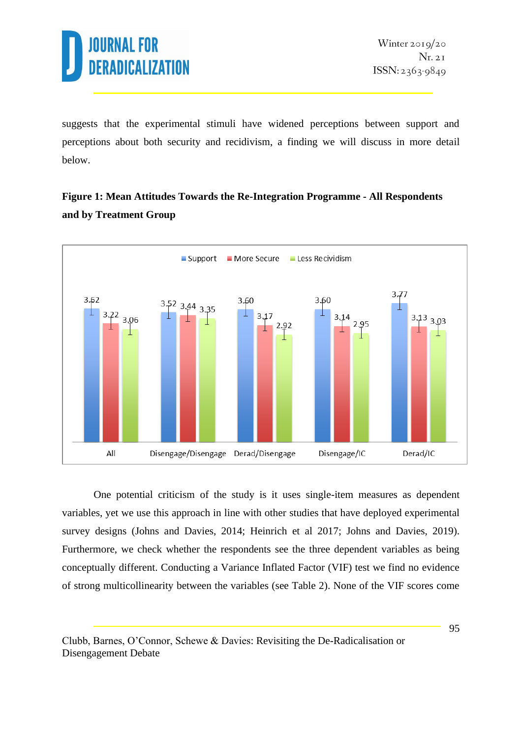

suggests that the experimental stimuli have widened perceptions between support and perceptions about both security and recidivism, a finding we will discuss in more detail below.

### **Figure 1: Mean Attitudes Towards the Re-Integration Programme - All Respondents and by Treatment Group**



One potential criticism of the study is it uses single-item measures as dependent variables, yet we use this approach in line with other studies that have deployed experimental survey designs (Johns and Davies, 2014; Heinrich et al 2017; Johns and Davies, 2019). Furthermore, we check whether the respondents see the three dependent variables as being conceptually different. Conducting a Variance Inflated Factor (VIF) test we find no evidence of strong multicollinearity between the variables (see Table 2). None of the VIF scores come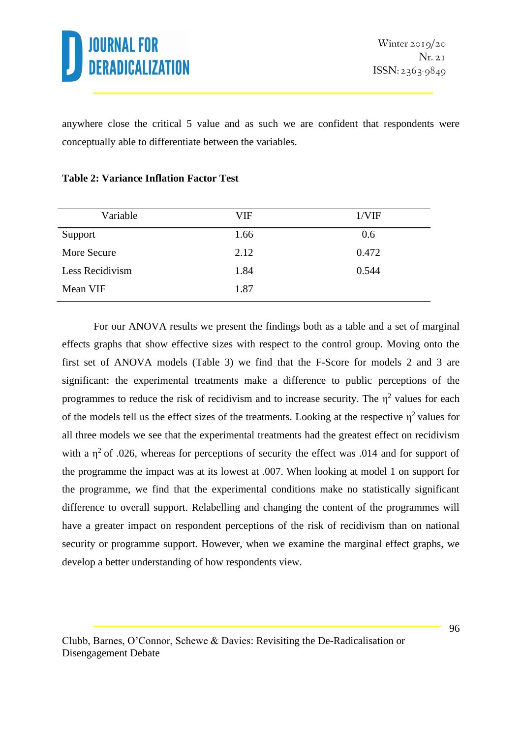

anywhere close the critical 5 value and as such we are confident that respondents were conceptually able to differentiate between the variables.

| Variable        | VIF  | 1/VIF |
|-----------------|------|-------|
| Support         | 1.66 | 0.6   |
| More Secure     | 2.12 | 0.472 |
| Less Recidivism | 1.84 | 0.544 |
| Mean VIF        | 1.87 |       |

### **Table 2: Variance Inflation Factor Test**

For our ANOVA results we present the findings both as a table and a set of marginal effects graphs that show effective sizes with respect to the control group. Moving onto the first set of ANOVA models (Table 3) we find that the F-Score for models 2 and 3 are significant: the experimental treatments make a difference to public perceptions of the programmes to reduce the risk of recidivism and to increase security. The  $\eta^2$  values for each of the models tell us the effect sizes of the treatments. Looking at the respective  $\eta^2$  values for all three models we see that the experimental treatments had the greatest effect on recidivism with a  $\eta^2$  of .026, whereas for perceptions of security the effect was .014 and for support of the programme the impact was at its lowest at .007. When looking at model 1 on support for the programme, we find that the experimental conditions make no statistically significant difference to overall support. Relabelling and changing the content of the programmes will have a greater impact on respondent perceptions of the risk of recidivism than on national security or programme support. However, when we examine the marginal effect graphs, we develop a better understanding of how respondents view.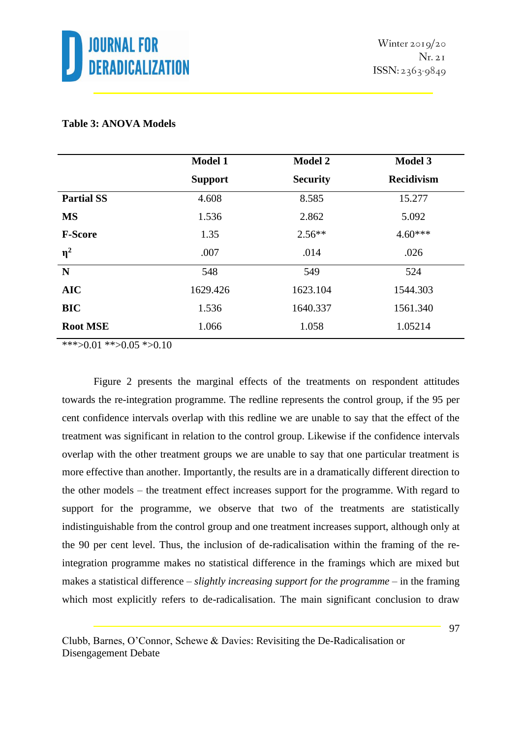

#### **Table 3: ANOVA Models**

|                   | <b>Model 1</b> | <b>Model 2</b>  | <b>Model 3</b>    |
|-------------------|----------------|-----------------|-------------------|
|                   | <b>Support</b> | <b>Security</b> | <b>Recidivism</b> |
| <b>Partial SS</b> | 4.608          | 8.585           | 15.277            |
| <b>MS</b>         | 1.536          | 2.862           | 5.092             |
| <b>F-Score</b>    | 1.35           | $2.56**$        | $4.60***$         |
| $\eta^2$          | .007           | .014            | .026              |
| $\mathbf N$       | 548            | 549             | 524               |
| <b>AIC</b>        | 1629.426       | 1623.104        | 1544.303          |
| <b>BIC</b>        | 1.536          | 1640.337        | 1561.340          |
| <b>Root MSE</b>   | 1.066          | 1.058           | 1.05214           |

\*\*\*>0.01 \*\*>0.05 \*>0.10

Figure 2 presents the marginal effects of the treatments on respondent attitudes towards the re-integration programme. The redline represents the control group, if the 95 per cent confidence intervals overlap with this redline we are unable to say that the effect of the treatment was significant in relation to the control group. Likewise if the confidence intervals overlap with the other treatment groups we are unable to say that one particular treatment is more effective than another. Importantly, the results are in a dramatically different direction to the other models – the treatment effect increases support for the programme. With regard to support for the programme, we observe that two of the treatments are statistically indistinguishable from the control group and one treatment increases support, although only at the 90 per cent level. Thus, the inclusion of de-radicalisation within the framing of the reintegration programme makes no statistical difference in the framings which are mixed but makes a statistical difference – *slightly increasing support for the programme* – in the framing which most explicitly refers to de-radicalisation. The main significant conclusion to draw

Clubb, Barnes, O'Connor, Schewe & Davies: Revisiting the De-Radicalisation or Disengagement Debate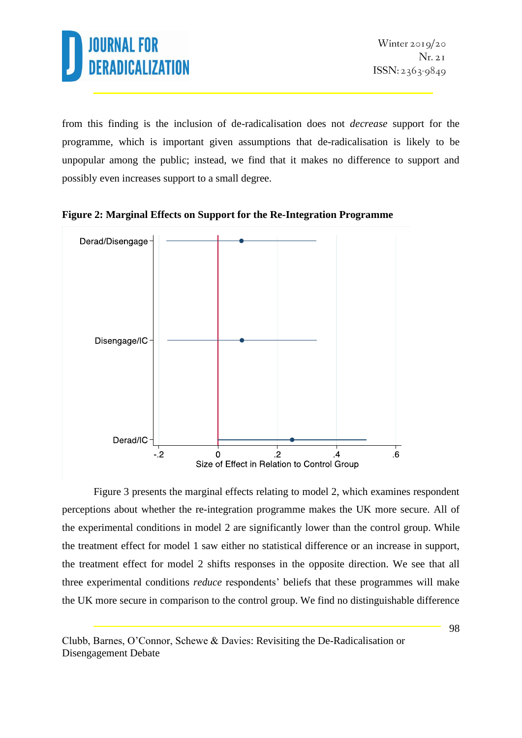

from this finding is the inclusion of de-radicalisation does not *decrease* support for the programme, which is important given assumptions that de-radicalisation is likely to be unpopular among the public; instead, we find that it makes no difference to support and possibly even increases support to a small degree.



**Figure 2: Marginal Effects on Support for the Re-Integration Programme**

Figure 3 presents the marginal effects relating to model 2, which examines respondent perceptions about whether the re-integration programme makes the UK more secure. All of the experimental conditions in model 2 are significantly lower than the control group. While the treatment effect for model 1 saw either no statistical difference or an increase in support, the treatment effect for model 2 shifts responses in the opposite direction. We see that all three experimental conditions *reduce* respondents' beliefs that these programmes will make the UK more secure in comparison to the control group. We find no distinguishable difference

Clubb, Barnes, O'Connor, Schewe & Davies: Revisiting the De-Radicalisation or Disengagement Debate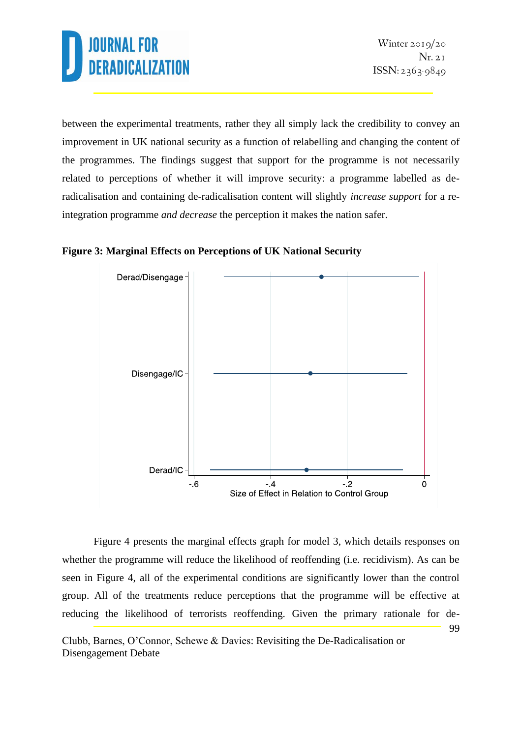between the experimental treatments, rather they all simply lack the credibility to convey an improvement in UK national security as a function of relabelling and changing the content of the programmes. The findings suggest that support for the programme is not necessarily related to perceptions of whether it will improve security: a programme labelled as deradicalisation and containing de-radicalisation content will slightly *increase support* for a reintegration programme *and decrease* the perception it makes the nation safer.





99 Figure 4 presents the marginal effects graph for model 3, which details responses on whether the programme will reduce the likelihood of reoffending (i.e. recidivism). As can be seen in Figure 4, all of the experimental conditions are significantly lower than the control group. All of the treatments reduce perceptions that the programme will be effective at reducing the likelihood of terrorists reoffending. Given the primary rationale for de-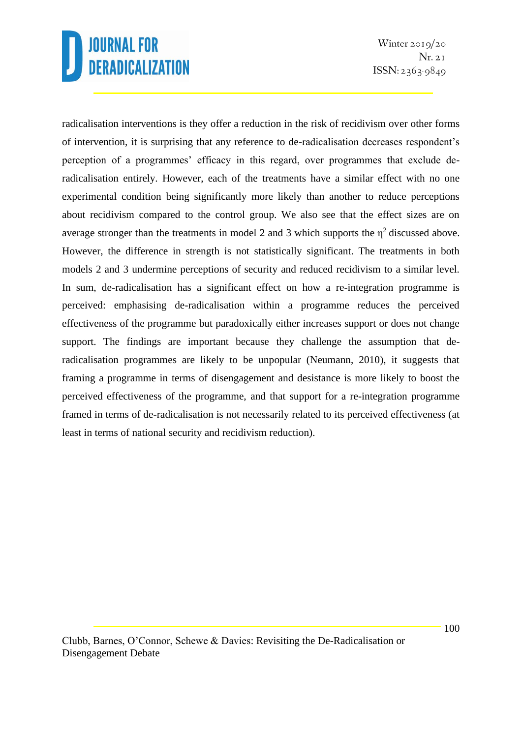Winter  $2019/20$  $Nr. 2I$  $ISSN: 2363-9849$ 

radicalisation interventions is they offer a reduction in the risk of recidivism over other forms of intervention, it is surprising that any reference to de-radicalisation decreases respondent's perception of a programmes' efficacy in this regard, over programmes that exclude deradicalisation entirely. However, each of the treatments have a similar effect with no one experimental condition being significantly more likely than another to reduce perceptions about recidivism compared to the control group. We also see that the effect sizes are on average stronger than the treatments in model 2 and 3 which supports the  $\eta^2$  discussed above. However, the difference in strength is not statistically significant. The treatments in both models 2 and 3 undermine perceptions of security and reduced recidivism to a similar level. In sum, de-radicalisation has a significant effect on how a re-integration programme is perceived: emphasising de-radicalisation within a programme reduces the perceived effectiveness of the programme but paradoxically either increases support or does not change support. The findings are important because they challenge the assumption that deradicalisation programmes are likely to be unpopular (Neumann, 2010), it suggests that framing a programme in terms of disengagement and desistance is more likely to boost the perceived effectiveness of the programme, and that support for a re-integration programme framed in terms of de-radicalisation is not necessarily related to its perceived effectiveness (at least in terms of national security and recidivism reduction).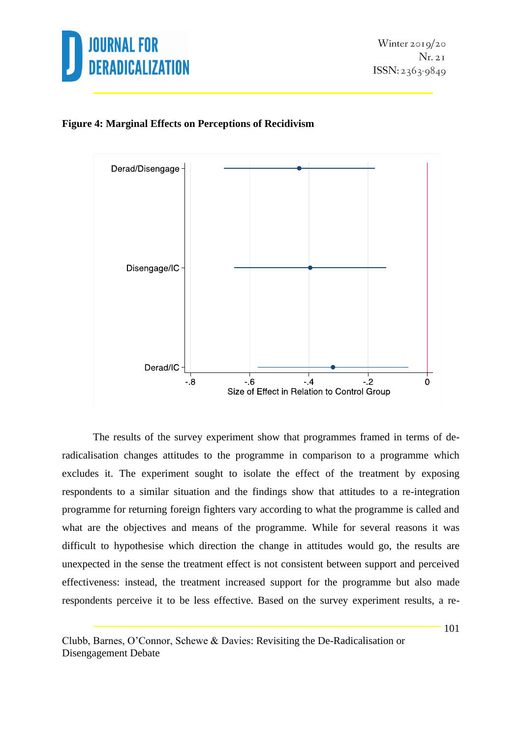

### **Figure 4: Marginal Effects on Perceptions of Recidivism**



The results of the survey experiment show that programmes framed in terms of deradicalisation changes attitudes to the programme in comparison to a programme which excludes it. The experiment sought to isolate the effect of the treatment by exposing respondents to a similar situation and the findings show that attitudes to a re-integration programme for returning foreign fighters vary according to what the programme is called and what are the objectives and means of the programme. While for several reasons it was difficult to hypothesise which direction the change in attitudes would go, the results are unexpected in the sense the treatment effect is not consistent between support and perceived effectiveness: instead, the treatment increased support for the programme but also made respondents perceive it to be less effective. Based on the survey experiment results, a re-

Clubb, Barnes, O'Connor, Schewe & Davies: Revisiting the De-Radicalisation or Disengagement Debate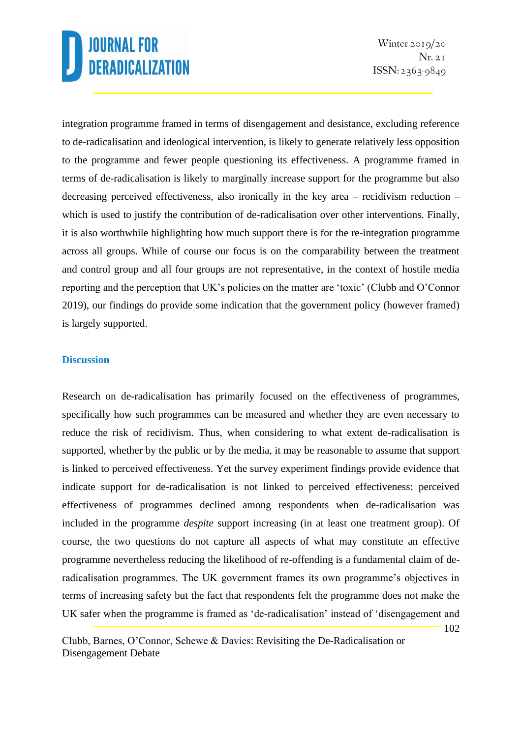Winter  $2019/20$  $Nr. 2I$  $ISSN: 2363-9849$ 

102

integration programme framed in terms of disengagement and desistance, excluding reference to de-radicalisation and ideological intervention, is likely to generate relatively less opposition to the programme and fewer people questioning its effectiveness. A programme framed in terms of de-radicalisation is likely to marginally increase support for the programme but also decreasing perceived effectiveness, also ironically in the key area – recidivism reduction – which is used to justify the contribution of de-radicalisation over other interventions. Finally, it is also worthwhile highlighting how much support there is for the re-integration programme across all groups. While of course our focus is on the comparability between the treatment and control group and all four groups are not representative, in the context of hostile media reporting and the perception that UK's policies on the matter are 'toxic' (Clubb and O'Connor 2019), our findings do provide some indication that the government policy (however framed) is largely supported.

#### **Discussion**

Research on de-radicalisation has primarily focused on the effectiveness of programmes, specifically how such programmes can be measured and whether they are even necessary to reduce the risk of recidivism. Thus, when considering to what extent de-radicalisation is supported, whether by the public or by the media, it may be reasonable to assume that support is linked to perceived effectiveness. Yet the survey experiment findings provide evidence that indicate support for de-radicalisation is not linked to perceived effectiveness: perceived effectiveness of programmes declined among respondents when de-radicalisation was included in the programme *despite* support increasing (in at least one treatment group). Of course, the two questions do not capture all aspects of what may constitute an effective programme nevertheless reducing the likelihood of re-offending is a fundamental claim of deradicalisation programmes. The UK government frames its own programme's objectives in terms of increasing safety but the fact that respondents felt the programme does not make the UK safer when the programme is framed as 'de-radicalisation' instead of 'disengagement and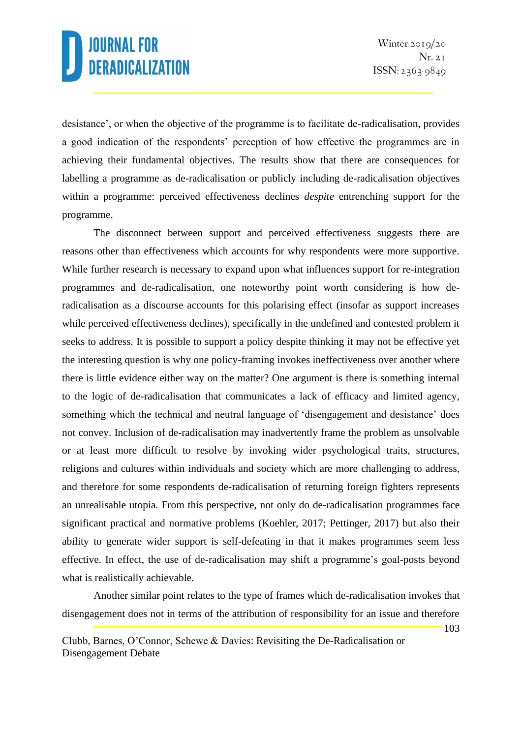desistance', or when the objective of the programme is to facilitate de-radicalisation, provides a good indication of the respondents' perception of how effective the programmes are in achieving their fundamental objectives. The results show that there are consequences for labelling a programme as de-radicalisation or publicly including de-radicalisation objectives within a programme: perceived effectiveness declines *despite* entrenching support for the programme.

The disconnect between support and perceived effectiveness suggests there are reasons other than effectiveness which accounts for why respondents were more supportive. While further research is necessary to expand upon what influences support for re-integration programmes and de-radicalisation, one noteworthy point worth considering is how deradicalisation as a discourse accounts for this polarising effect (insofar as support increases while perceived effectiveness declines), specifically in the undefined and contested problem it seeks to address. It is possible to support a policy despite thinking it may not be effective yet the interesting question is why one policy-framing invokes ineffectiveness over another where there is little evidence either way on the matter? One argument is there is something internal to the logic of de-radicalisation that communicates a lack of efficacy and limited agency, something which the technical and neutral language of 'disengagement and desistance' does not convey. Inclusion of de-radicalisation may inadvertently frame the problem as unsolvable or at least more difficult to resolve by invoking wider psychological traits, structures, religions and cultures within individuals and society which are more challenging to address, and therefore for some respondents de-radicalisation of returning foreign fighters represents an unrealisable utopia. From this perspective, not only do de-radicalisation programmes face significant practical and normative problems (Koehler, 2017; Pettinger, 2017) but also their ability to generate wider support is self-defeating in that it makes programmes seem less effective. In effect, the use of de-radicalisation may shift a programme's goal-posts beyond what is realistically achievable.

Another similar point relates to the type of frames which de-radicalisation invokes that disengagement does not in terms of the attribution of responsibility for an issue and therefore

Clubb, Barnes, O'Connor, Schewe & Davies: Revisiting the De-Radicalisation or Disengagement Debate

103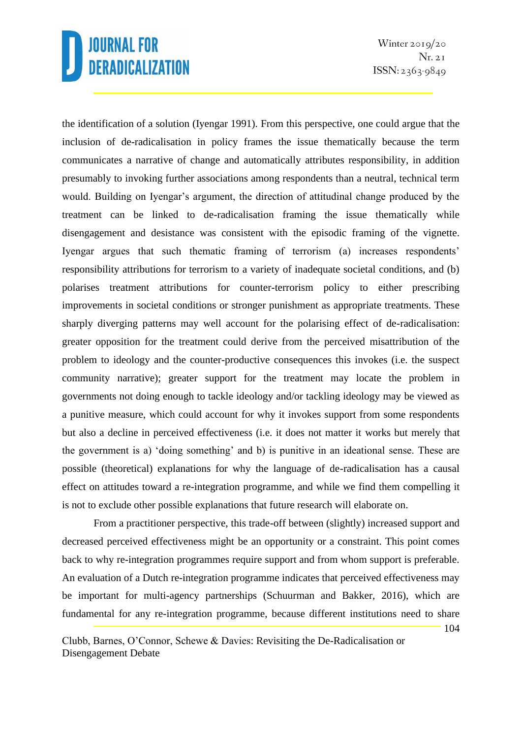Winter  $2019/20$  $Nr. 2I$  $ISSN: 2363-9849$ 

the identification of a solution (Iyengar 1991). From this perspective, one could argue that the inclusion of de-radicalisation in policy frames the issue thematically because the term communicates a narrative of change and automatically attributes responsibility, in addition presumably to invoking further associations among respondents than a neutral, technical term would. Building on Iyengar's argument, the direction of attitudinal change produced by the treatment can be linked to de-radicalisation framing the issue thematically while disengagement and desistance was consistent with the episodic framing of the vignette. Iyengar argues that such thematic framing of terrorism (a) increases respondents' responsibility attributions for terrorism to a variety of inadequate societal conditions, and (b) polarises treatment attributions for counter-terrorism policy to either prescribing improvements in societal conditions or stronger punishment as appropriate treatments. These sharply diverging patterns may well account for the polarising effect of de-radicalisation: greater opposition for the treatment could derive from the perceived misattribution of the problem to ideology and the counter-productive consequences this invokes (i.e. the suspect community narrative); greater support for the treatment may locate the problem in governments not doing enough to tackle ideology and/or tackling ideology may be viewed as a punitive measure, which could account for why it invokes support from some respondents but also a decline in perceived effectiveness (i.e. it does not matter it works but merely that the government is a) 'doing something' and b) is punitive in an ideational sense. These are possible (theoretical) explanations for why the language of de-radicalisation has a causal effect on attitudes toward a re-integration programme, and while we find them compelling it is not to exclude other possible explanations that future research will elaborate on.

From a practitioner perspective, this trade-off between (slightly) increased support and decreased perceived effectiveness might be an opportunity or a constraint. This point comes back to why re-integration programmes require support and from whom support is preferable. An evaluation of a Dutch re-integration programme indicates that perceived effectiveness may be important for multi-agency partnerships (Schuurman and Bakker, 2016), which are fundamental for any re-integration programme, because different institutions need to share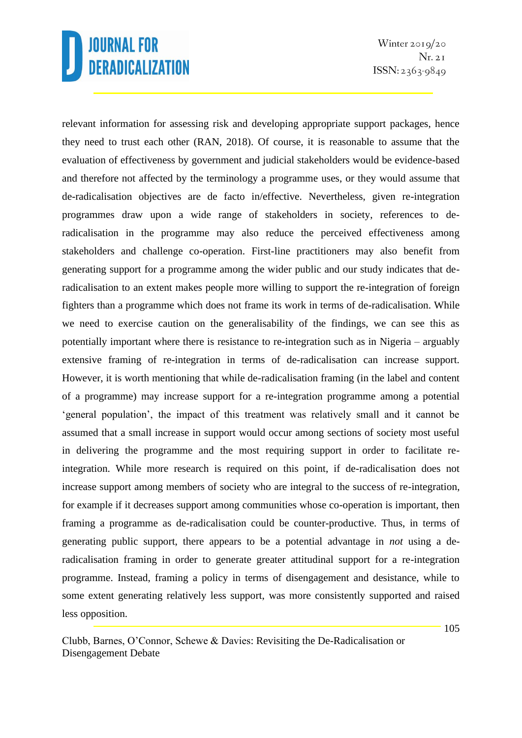Winter  $2019/20$  $Nr. 2I$  $ISSN: 2363-9849$ 

relevant information for assessing risk and developing appropriate support packages, hence they need to trust each other (RAN, 2018). Of course, it is reasonable to assume that the evaluation of effectiveness by government and judicial stakeholders would be evidence-based and therefore not affected by the terminology a programme uses, or they would assume that de-radicalisation objectives are de facto in/effective. Nevertheless, given re-integration programmes draw upon a wide range of stakeholders in society, references to deradicalisation in the programme may also reduce the perceived effectiveness among stakeholders and challenge co-operation. First-line practitioners may also benefit from generating support for a programme among the wider public and our study indicates that deradicalisation to an extent makes people more willing to support the re-integration of foreign fighters than a programme which does not frame its work in terms of de-radicalisation. While we need to exercise caution on the generalisability of the findings, we can see this as potentially important where there is resistance to re-integration such as in Nigeria – arguably extensive framing of re-integration in terms of de-radicalisation can increase support. However, it is worth mentioning that while de-radicalisation framing (in the label and content of a programme) may increase support for a re-integration programme among a potential 'general population', the impact of this treatment was relatively small and it cannot be assumed that a small increase in support would occur among sections of society most useful in delivering the programme and the most requiring support in order to facilitate reintegration. While more research is required on this point, if de-radicalisation does not increase support among members of society who are integral to the success of re-integration, for example if it decreases support among communities whose co-operation is important, then framing a programme as de-radicalisation could be counter-productive. Thus, in terms of generating public support, there appears to be a potential advantage in *not* using a deradicalisation framing in order to generate greater attitudinal support for a re-integration programme. Instead, framing a policy in terms of disengagement and desistance, while to some extent generating relatively less support, was more consistently supported and raised less opposition.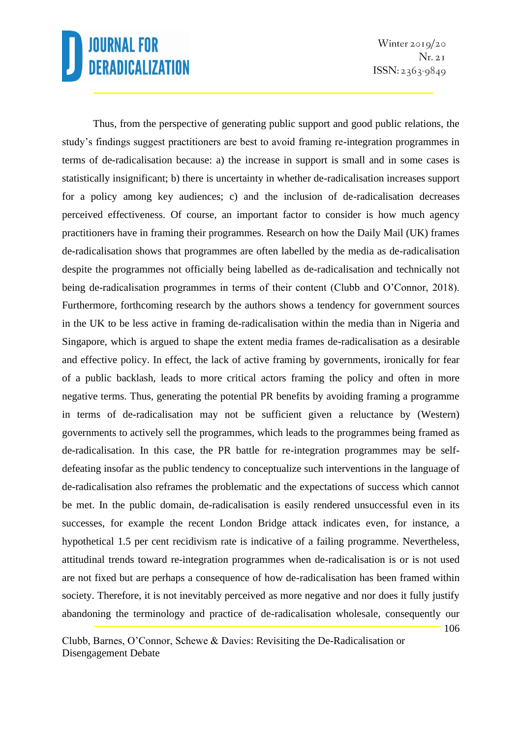Winter  $2019/20$  $Nr. 2I$  $ISSN: 2363-9849$ 

106

Thus, from the perspective of generating public support and good public relations, the study's findings suggest practitioners are best to avoid framing re-integration programmes in terms of de-radicalisation because: a) the increase in support is small and in some cases is statistically insignificant; b) there is uncertainty in whether de-radicalisation increases support for a policy among key audiences; c) and the inclusion of de-radicalisation decreases perceived effectiveness. Of course, an important factor to consider is how much agency practitioners have in framing their programmes. Research on how the Daily Mail (UK) frames de-radicalisation shows that programmes are often labelled by the media as de-radicalisation despite the programmes not officially being labelled as de-radicalisation and technically not being de-radicalisation programmes in terms of their content (Clubb and O'Connor, 2018). Furthermore, forthcoming research by the authors shows a tendency for government sources in the UK to be less active in framing de-radicalisation within the media than in Nigeria and Singapore, which is argued to shape the extent media frames de-radicalisation as a desirable and effective policy. In effect, the lack of active framing by governments, ironically for fear of a public backlash, leads to more critical actors framing the policy and often in more negative terms. Thus, generating the potential PR benefits by avoiding framing a programme in terms of de-radicalisation may not be sufficient given a reluctance by (Western) governments to actively sell the programmes, which leads to the programmes being framed as de-radicalisation. In this case, the PR battle for re-integration programmes may be selfdefeating insofar as the public tendency to conceptualize such interventions in the language of de-radicalisation also reframes the problematic and the expectations of success which cannot be met. In the public domain, de-radicalisation is easily rendered unsuccessful even in its successes, for example the recent London Bridge attack indicates even, for instance, a hypothetical 1.5 per cent recidivism rate is indicative of a failing programme. Nevertheless, attitudinal trends toward re-integration programmes when de-radicalisation is or is not used are not fixed but are perhaps a consequence of how de-radicalisation has been framed within society. Therefore, it is not inevitably perceived as more negative and nor does it fully justify abandoning the terminology and practice of de-radicalisation wholesale, consequently our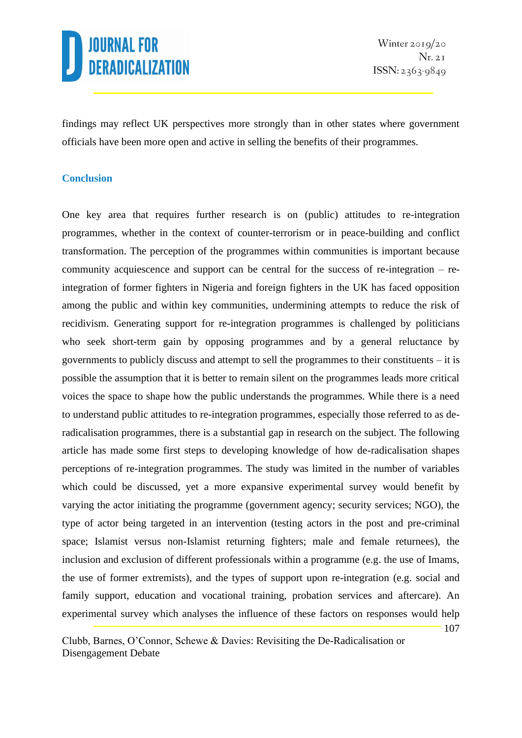107

findings may reflect UK perspectives more strongly than in other states where government officials have been more open and active in selling the benefits of their programmes.

### **Conclusion**

One key area that requires further research is on (public) attitudes to re-integration programmes, whether in the context of counter-terrorism or in peace-building and conflict transformation. The perception of the programmes within communities is important because community acquiescence and support can be central for the success of re-integration – reintegration of former fighters in Nigeria and foreign fighters in the UK has faced opposition among the public and within key communities, undermining attempts to reduce the risk of recidivism. Generating support for re-integration programmes is challenged by politicians who seek short-term gain by opposing programmes and by a general reluctance by governments to publicly discuss and attempt to sell the programmes to their constituents – it is possible the assumption that it is better to remain silent on the programmes leads more critical voices the space to shape how the public understands the programmes. While there is a need to understand public attitudes to re-integration programmes, especially those referred to as deradicalisation programmes, there is a substantial gap in research on the subject. The following article has made some first steps to developing knowledge of how de-radicalisation shapes perceptions of re-integration programmes. The study was limited in the number of variables which could be discussed, yet a more expansive experimental survey would benefit by varying the actor initiating the programme (government agency; security services; NGO), the type of actor being targeted in an intervention (testing actors in the post and pre-criminal space; Islamist versus non-Islamist returning fighters; male and female returnees), the inclusion and exclusion of different professionals within a programme (e.g. the use of Imams, the use of former extremists), and the types of support upon re-integration (e.g. social and family support, education and vocational training, probation services and aftercare). An experimental survey which analyses the influence of these factors on responses would help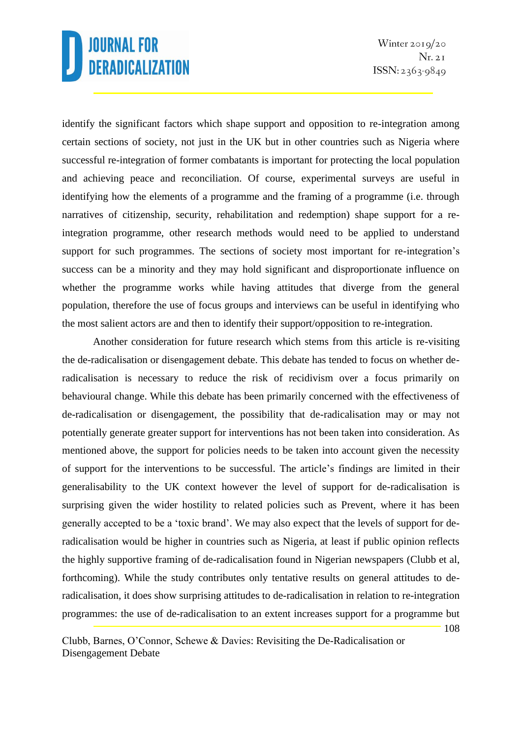Winter  $2019/20$  $Nr. 2I$  $ISSN: 2363-9849$ 

108

identify the significant factors which shape support and opposition to re-integration among certain sections of society, not just in the UK but in other countries such as Nigeria where successful re-integration of former combatants is important for protecting the local population and achieving peace and reconciliation. Of course, experimental surveys are useful in identifying how the elements of a programme and the framing of a programme (i.e. through narratives of citizenship, security, rehabilitation and redemption) shape support for a reintegration programme, other research methods would need to be applied to understand support for such programmes. The sections of society most important for re-integration's success can be a minority and they may hold significant and disproportionate influence on whether the programme works while having attitudes that diverge from the general population, therefore the use of focus groups and interviews can be useful in identifying who the most salient actors are and then to identify their support/opposition to re-integration.

Another consideration for future research which stems from this article is re-visiting the de-radicalisation or disengagement debate. This debate has tended to focus on whether deradicalisation is necessary to reduce the risk of recidivism over a focus primarily on behavioural change. While this debate has been primarily concerned with the effectiveness of de-radicalisation or disengagement, the possibility that de-radicalisation may or may not potentially generate greater support for interventions has not been taken into consideration. As mentioned above, the support for policies needs to be taken into account given the necessity of support for the interventions to be successful. The article's findings are limited in their generalisability to the UK context however the level of support for de-radicalisation is surprising given the wider hostility to related policies such as Prevent, where it has been generally accepted to be a 'toxic brand'. We may also expect that the levels of support for deradicalisation would be higher in countries such as Nigeria, at least if public opinion reflects the highly supportive framing of de-radicalisation found in Nigerian newspapers (Clubb et al, forthcoming). While the study contributes only tentative results on general attitudes to deradicalisation, it does show surprising attitudes to de-radicalisation in relation to re-integration programmes: the use of de-radicalisation to an extent increases support for a programme but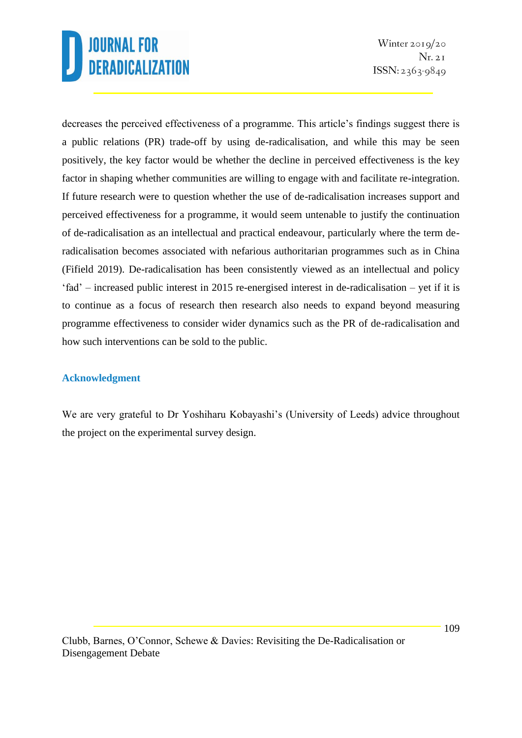Winter  $2019/20$  $Nr. 2I$  $ISSN: 2363-9849$ 

decreases the perceived effectiveness of a programme. This article's findings suggest there is a public relations (PR) trade-off by using de-radicalisation, and while this may be seen positively, the key factor would be whether the decline in perceived effectiveness is the key factor in shaping whether communities are willing to engage with and facilitate re-integration. If future research were to question whether the use of de-radicalisation increases support and perceived effectiveness for a programme, it would seem untenable to justify the continuation of de-radicalisation as an intellectual and practical endeavour, particularly where the term deradicalisation becomes associated with nefarious authoritarian programmes such as in China (Fifield 2019). De-radicalisation has been consistently viewed as an intellectual and policy 'fad' – increased public interest in 2015 re-energised interest in de-radicalisation – yet if it is to continue as a focus of research then research also needs to expand beyond measuring programme effectiveness to consider wider dynamics such as the PR of de-radicalisation and how such interventions can be sold to the public.

### **Acknowledgment**

We are very grateful to Dr Yoshiharu Kobayashi's (University of Leeds) advice throughout the project on the experimental survey design.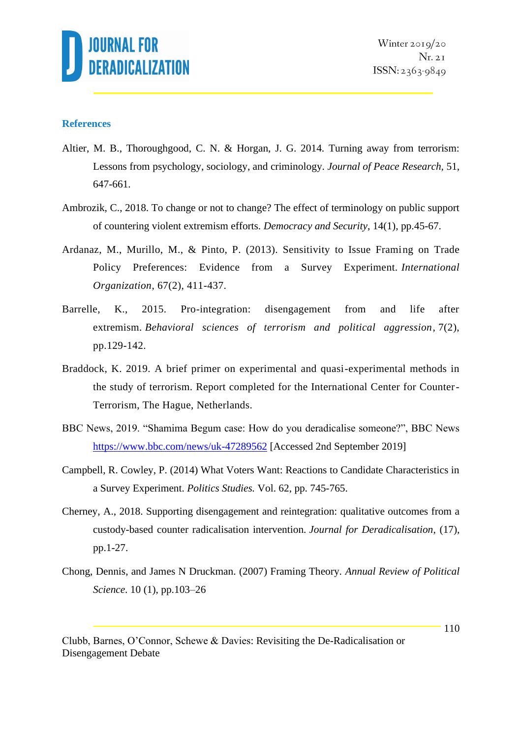

#### **References**

- Altier, M. B., Thoroughgood, C. N. & Horgan, J. G. 2014. Turning away from terrorism: Lessons from psychology, sociology, and criminology. *Journal of Peace Research,* 51, 647-661.
- Ambrozik, C., 2018. To change or not to change? The effect of terminology on public support of countering violent extremism efforts. *Democracy and Security*, 14(1), pp.45-67.
- Ardanaz, M., Murillo, M., & Pinto, P. (2013). Sensitivity to Issue Framing on Trade Policy Preferences: Evidence from a Survey Experiment. *International Organization*, 67(2), 411-437.
- Barrelle, K., 2015. Pro-integration: disengagement from and life after extremism. *Behavioral sciences of terrorism and political aggression*, 7(2), pp.129-142.
- Braddock, K. 2019. A brief primer on experimental and quasi-experimental methods in the study of terrorism. Report completed for the International Center for Counter-Terrorism, The Hague, Netherlands.
- BBC News, 2019. "Shamima Begum case: How do you deradicalise someone?", BBC News <https://www.bbc.com/news/uk-47289562> [Accessed 2nd September 2019]
- Campbell, R. Cowley, P. (2014) What Voters Want: Reactions to Candidate Characteristics in a Survey Experiment. *Politics Studies.* Vol. 62, pp. 745-765.
- Cherney, A., 2018. Supporting disengagement and reintegration: qualitative outcomes from a custody-based counter radicalisation intervention. *Journal for Deradicalisation*, (17), pp.1-27.
- Chong, Dennis, and James N Druckman. (2007) Framing Theory. *Annual Review of Political Science*. 10 (1), pp.103–26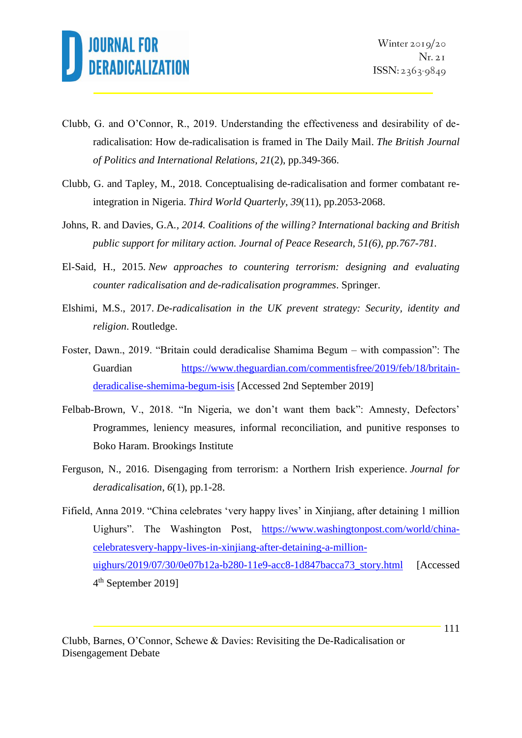

- Clubb, G. and O'Connor, R., 2019. Understanding the effectiveness and desirability of deradicalisation: How de-radicalisation is framed in The Daily Mail. *The British Journal of Politics and International Relations*, *21*(2), pp.349-366.
- Clubb, G. and Tapley, M., 2018. Conceptualising de-radicalisation and former combatant reintegration in Nigeria. *Third World Quarterly*, *39*(11), pp.2053-2068.
- Johns, R. and Davies, G.A*., 2014. Coalitions of the willing? International backing and British public support for military action. Journal of Peace Research, 51(6), pp.767-781.*
- El-Said, H., 2015. *New approaches to countering terrorism: designing and evaluating counter radicalisation and de-radicalisation programmes*. Springer.
- Elshimi, M.S., 2017. *De-radicalisation in the UK prevent strategy: Security, identity and religion*. Routledge.
- Foster, Dawn., 2019. "Britain could deradicalise Shamima Begum with compassion": The Guardian [https://www.theguardian.com/commentisfree/2019/feb/18/britain](https://www.theguardian.com/commentisfree/2019/feb/18/britain-deradicalise-shemima-begum-isis)[deradicalise-shemima-begum-isis](https://www.theguardian.com/commentisfree/2019/feb/18/britain-deradicalise-shemima-begum-isis) [Accessed 2nd September 2019]
- Felbab-Brown, V., 2018. "In Nigeria, we don't want them back": Amnesty, Defectors' Programmes, leniency measures, informal reconciliation, and punitive responses to Boko Haram. Brookings Institute
- Ferguson, N., 2016. Disengaging from terrorism: a Northern Irish experience. *Journal for deradicalisation*, *6*(1), pp.1-28.
- Fifield, Anna 2019. "China celebrates 'very happy lives' in Xinjiang, after detaining 1 million Uighurs". The Washington Post, [https://www.washingtonpost.com/world/china](https://www.washingtonpost.com/world/china-celebratesvery-happy-lives-in-xinjiang-after-detaining-a-million-uighurs/2019/07/30/0e07b12a-b280-11e9-acc8-1d847bacca73_story.html)[celebratesvery-happy-lives-in-xinjiang-after-detaining-a-million](https://www.washingtonpost.com/world/china-celebratesvery-happy-lives-in-xinjiang-after-detaining-a-million-uighurs/2019/07/30/0e07b12a-b280-11e9-acc8-1d847bacca73_story.html)[uighurs/2019/07/30/0e07b12a-b280-11e9-acc8-1d847bacca73\\_story.html](https://www.washingtonpost.com/world/china-celebratesvery-happy-lives-in-xinjiang-after-detaining-a-million-uighurs/2019/07/30/0e07b12a-b280-11e9-acc8-1d847bacca73_story.html) [Accessed 4 th September 2019]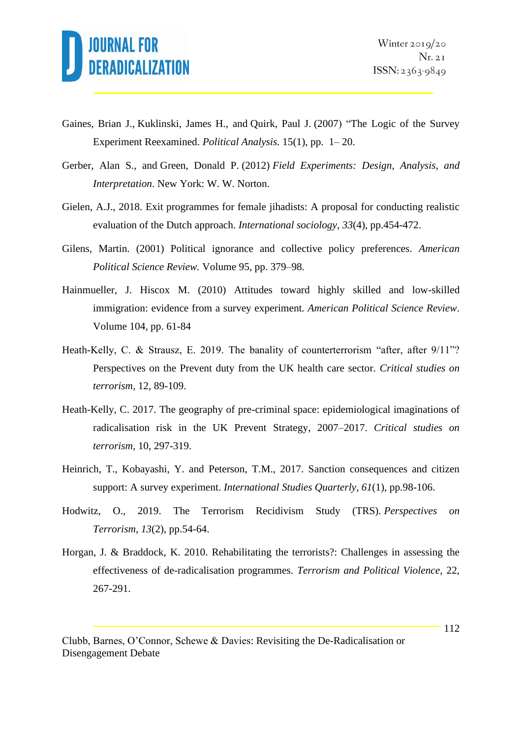

- Gaines, Brian J., Kuklinski, James H., and Quirk, Paul J. (2007) "The Logic of the Survey Experiment Reexamined. *Political Analysis.* 15(1), pp. 1– 20.
- Gerber, Alan S., and Green, Donald P. (2012) *Field Experiments: Design, Analysis, and Interpretation*. New York: W. W. Norton.
- Gielen, A.J., 2018. Exit programmes for female jihadists: A proposal for conducting realistic evaluation of the Dutch approach. *International sociology*, *33*(4), pp.454-472.
- Gilens, Martin. (2001) Political ignorance and collective policy preferences. *American Political Science Review.* Volume 95, pp. 379–98.
- Hainmueller, J. Hiscox M. (2010) Attitudes toward highly skilled and low-skilled immigration: evidence from a survey experiment*. American Political Science Review*. Volume 104, pp. 61-84
- Heath-Kelly, C. & Strausz, E. 2019. The banality of counterterrorism "after, after 9/11"? Perspectives on the Prevent duty from the UK health care sector. *Critical studies on terrorism,* 12, 89-109.
- Heath-Kelly, C. 2017. The geography of pre-criminal space: epidemiological imaginations of radicalisation risk in the UK Prevent Strategy, 2007–2017. *Critical studies on terrorism,* 10, 297-319.
- Heinrich, T., Kobayashi, Y. and Peterson, T.M., 2017. Sanction consequences and citizen support: A survey experiment. *International Studies Quarterly*, *61*(1), pp.98-106.
- Hodwitz, O., 2019. The Terrorism Recidivism Study (TRS). *Perspectives on Terrorism*, *13*(2), pp.54-64.
- Horgan, J. & Braddock, K. 2010. Rehabilitating the terrorists?: Challenges in assessing the effectiveness of de-radicalisation programmes. *Terrorism and Political Violence,* 22, 267-291.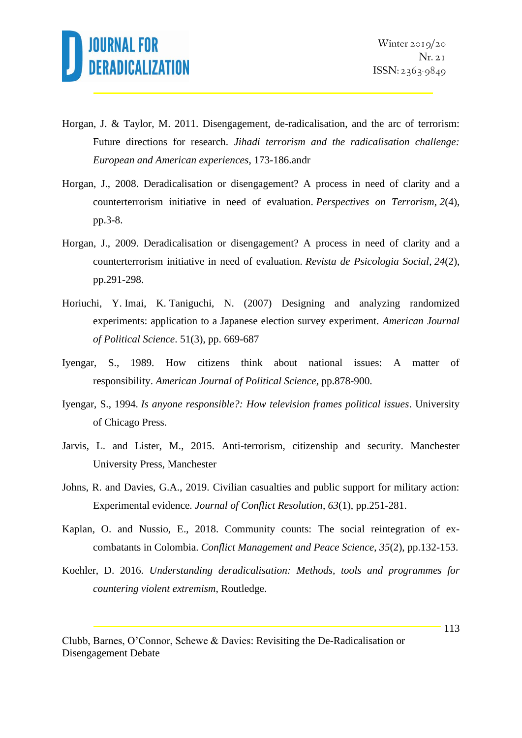

- Horgan, J. & Taylor, M. 2011. Disengagement, de-radicalisation, and the arc of terrorism: Future directions for research. *Jihadi terrorism and the radicalisation challenge: European and American experiences*, 173-186.andr
- Horgan, J., 2008. Deradicalisation or disengagement? A process in need of clarity and a counterterrorism initiative in need of evaluation. *Perspectives on Terrorism*, *2*(4), pp.3-8.
- Horgan, J., 2009. Deradicalisation or disengagement? A process in need of clarity and a counterterrorism initiative in need of evaluation. *Revista de Psicologia Social*, *24*(2), pp.291-298.
- Horiuchi, Y. Imai, K. Taniguchi, N. (2007) Designing and analyzing randomized experiments: application to a Japanese election survey experiment. *American Journal of Political Science*. 51(3), pp. 669-687
- Iyengar, S., 1989. How citizens think about national issues: A matter of responsibility. *American Journal of Political Science*, pp.878-900.
- Iyengar, S., 1994. *Is anyone responsible?: How television frames political issues*. University of Chicago Press.
- Jarvis, L. and Lister, M., 2015. Anti-terrorism, citizenship and security. Manchester University Press, Manchester
- Johns, R. and Davies, G.A., 2019. Civilian casualties and public support for military action: Experimental evidence. *Journal of Conflict Resolution*, *63*(1), pp.251-281.
- Kaplan, O. and Nussio, E., 2018. Community counts: The social reintegration of excombatants in Colombia. *Conflict Management and Peace Science*, *35*(2), pp.132-153.
- Koehler, D. 2016. *Understanding deradicalisation: Methods, tools and programmes for countering violent extremism*, Routledge.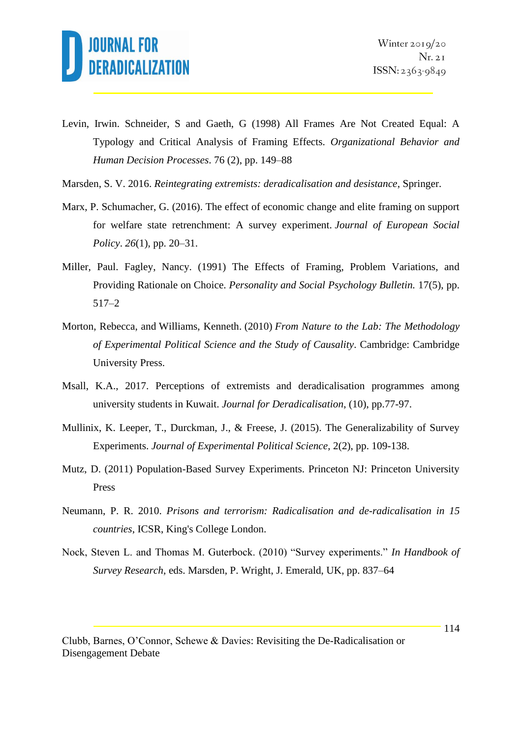

- Levin, Irwin. Schneider, S and Gaeth, G (1998) All Frames Are Not Created Equal: A Typology and Critical Analysis of Framing Effects*. Organizational Behavior and Human Decision Processes*. 76 (2), pp. 149–88
- Marsden, S. V. 2016. *Reintegrating extremists: deradicalisation and desistance*, Springer.
- Marx, P. Schumacher, G. (2016). The effect of economic change and elite framing on support for welfare state retrenchment: A survey experiment. *Journal of European Social Policy*. *26*(1), pp. 20–31.
- Miller, Paul. Fagley, Nancy. (1991) The Effects of Framing, Problem Variations, and Providing Rationale on Choice. *Personality and Social Psychology Bulletin.* 17(5), pp. 517–2
- Morton, Rebecca, and Williams, Kenneth. (2010) *From Nature to the Lab: The Methodology of Experimental Political Science and the Study of Causality*. Cambridge: Cambridge University Press.
- Msall, K.A., 2017. Perceptions of extremists and deradicalisation programmes among university students in Kuwait. *Journal for Deradicalisation*, (10), pp.77-97.
- Mullinix, K. Leeper, T., Durckman, J., & Freese, J. (2015). The Generalizability of Survey Experiments. *Journal of Experimental Political Science*, 2(2), pp. 109-138.
- Mutz, D. (2011) Population-Based Survey Experiments. Princeton NJ: Princeton University Press
- Neumann, P. R. 2010. *Prisons and terrorism: Radicalisation and de-radicalisation in 15 countries*, ICSR, King's College London.
- Nock, Steven L. and Thomas M. Guterbock. (2010) "Survey experiments." *In Handbook of Survey Research,* eds. Marsden, P. Wright, J. Emerald, UK, pp. 837–64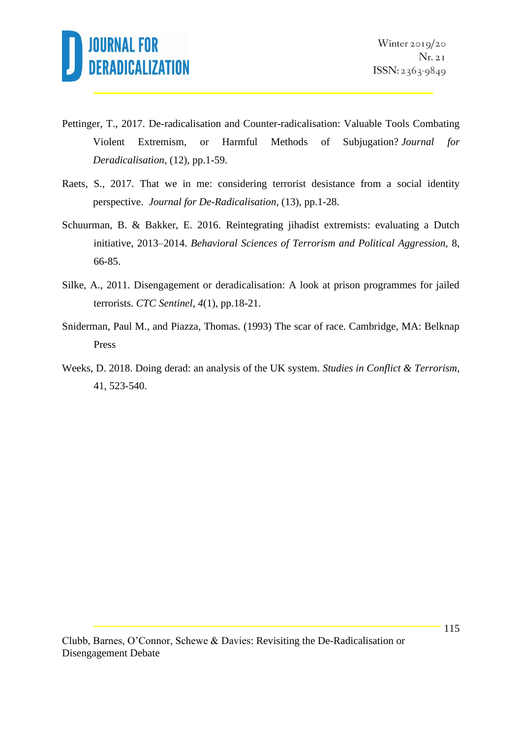

- Pettinger, T., 2017. De-radicalisation and Counter-radicalisation: Valuable Tools Combating Violent Extremism, or Harmful Methods of Subjugation? *Journal for Deradicalisation*, (12), pp.1-59.
- Raets, S., 2017. That we in me: considering terrorist desistance from a social identity perspective. *Journal for De-Radicalisation*, (13), pp.1-28.
- Schuurman, B. & Bakker, E. 2016. Reintegrating jihadist extremists: evaluating a Dutch initiative, 2013–2014. *Behavioral Sciences of Terrorism and Political Aggression,* 8, 66-85.
- Silke, A., 2011. Disengagement or deradicalisation: A look at prison programmes for jailed terrorists. *CTC Sentinel*, *4*(1), pp.18-21.
- Sniderman, Paul M., and Piazza, Thomas. (1993) The scar of race. Cambridge, MA: Belknap Press
- Weeks, D. 2018. Doing derad: an analysis of the UK system. *Studies in Conflict & Terrorism,* 41, 523-540.